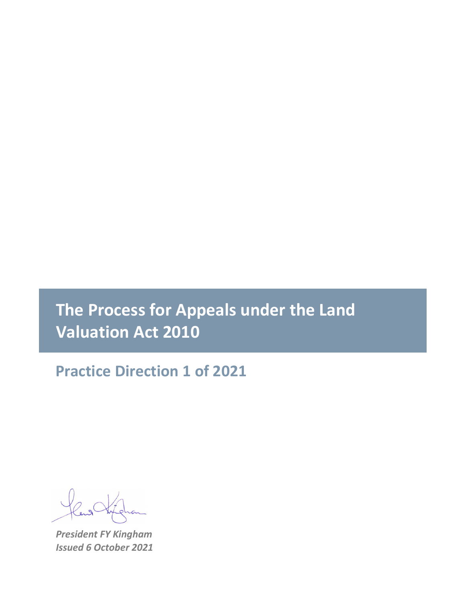# **The Process for Appeals under the Land Valuation Act 2010**

**Practice Direction 1 of 2021**

*President FY Kingham Issued 6 October 2021*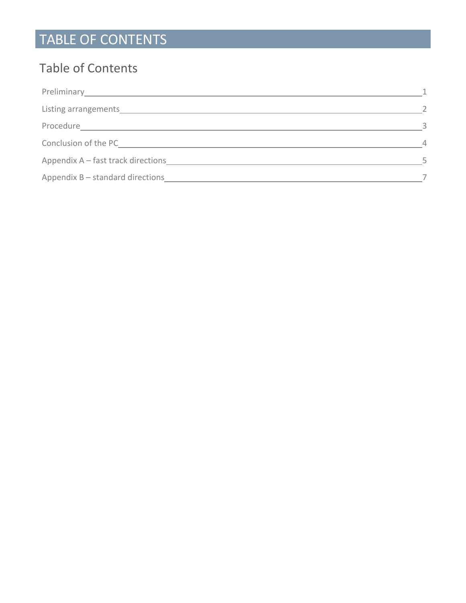# TABLE OF CONTENTS

## Table of Contents

| Conclusion of the PC and the contract of the PC and the PC and the United States of the United States of the U |  |
|----------------------------------------------------------------------------------------------------------------|--|
| Appendix A - fast track directions                                                                             |  |
|                                                                                                                |  |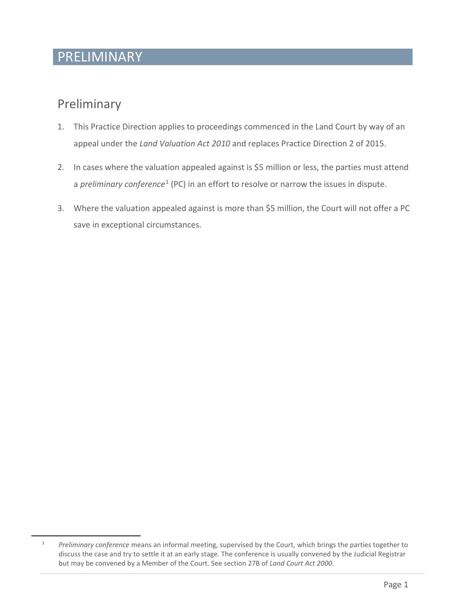#### PRELIMINARY

#### Preliminary

- 1. This Practice Direction applies to proceedings commenced in the Land Court by way of an appeal under the *Land Valuation Act 2010* and replaces Practice Direction 2 of 2015.
- 2. In cases where the valuation appealed against is \$5 million or less, the parties must attend a *preliminary conference*[1](#page-2-0) (PC) in an effort to resolve or narrow the issues in dispute.
- 3. Where the valuation appealed against is more than \$5 million, the Court will not offer a PC save in exceptional circumstances.

<span id="page-2-0"></span><sup>1</sup> *Preliminary conference* means an informal meeting, supervised by the Court, which brings the parties together to discuss the case and try to settle it at an early stage. The conference is usually convened by the Judicial Registrar but may be convened by a Member of the Court. See section 27B of *Land Court Act 2000*.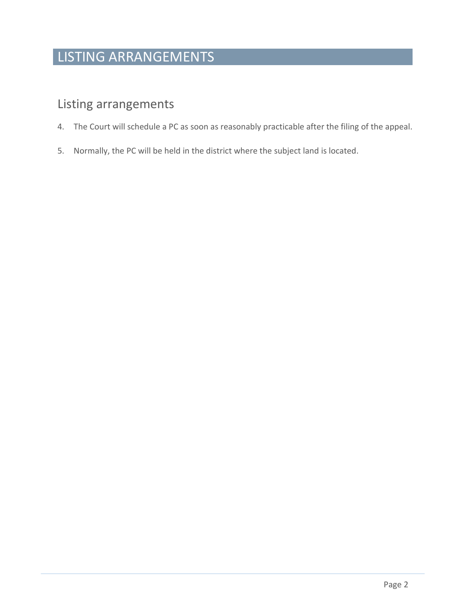# LISTING ARRANGEMENTS

#### Listing arrangements

- 4. The Court will schedule a PC as soon as reasonably practicable after the filing of the appeal.
- 5. Normally, the PC will be held in the district where the subject land is located.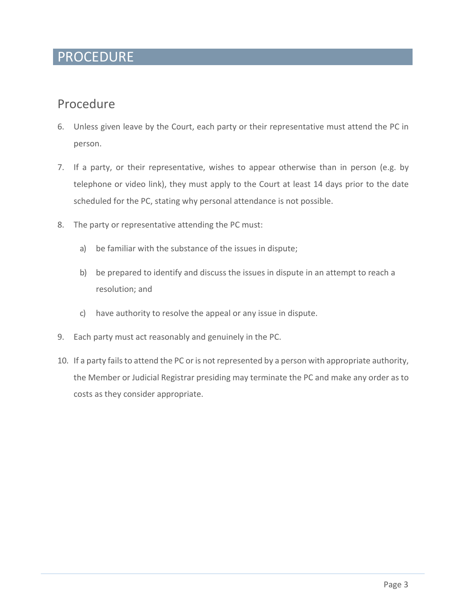#### PROCEDURE

#### Procedure

- 6. Unless given leave by the Court, each party or their representative must attend the PC in person.
- 7. If a party, or their representative, wishes to appear otherwise than in person (e.g. by telephone or video link), they must apply to the Court at least 14 days prior to the date scheduled for the PC, stating why personal attendance is not possible.
- 8. The party or representative attending the PC must:
	- a) be familiar with the substance of the issues in dispute;
	- b) be prepared to identify and discuss the issues in dispute in an attempt to reach a resolution; and
	- c) have authority to resolve the appeal or any issue in dispute.
- 9. Each party must act reasonably and genuinely in the PC.
- 10. If a party fails to attend the PC or is not represented by a person with appropriate authority, the Member or Judicial Registrar presiding may terminate the PC and make any order as to costs as they consider appropriate.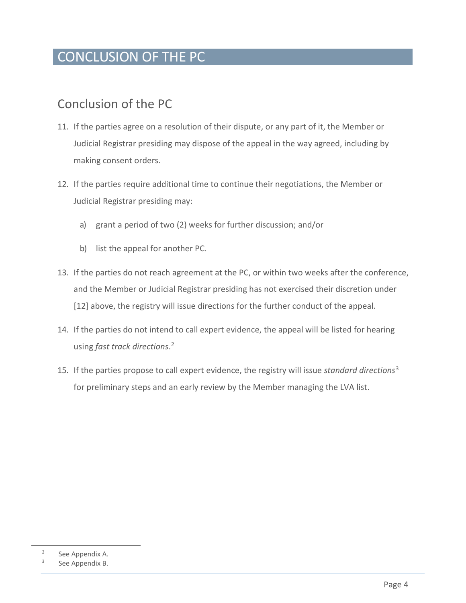## CONCLUSION OF THE PC

#### Conclusion of the PC

- 11. If the parties agree on a resolution of their dispute, or any part of it, the Member or Judicial Registrar presiding may dispose of the appeal in the way agreed, including by making consent orders.
- 12. If the parties require additional time to continue their negotiations, the Member or Judicial Registrar presiding may:
	- a) grant a period of two (2) weeks for further discussion; and/or
	- b) list the appeal for another PC.
- 13. If the parties do not reach agreement at the PC, or within two weeks after the conference, and the Member or Judicial Registrar presiding has not exercised their discretion under [12] above, the registry will issue directions for the further conduct of the appeal.
- 14. If the parties do not intend to call expert evidence, the appeal will be listed for hearing using *fast track directions*. [2](#page-5-0)
- 15. If the parties propose to call expert evidence, the registry will issue *standard directions*[3](#page-5-1) for preliminary steps and an early review by the Member managing the LVA list.

<span id="page-5-1"></span><span id="page-5-0"></span><sup>2</sup> See Appendix A.

See Appendix B.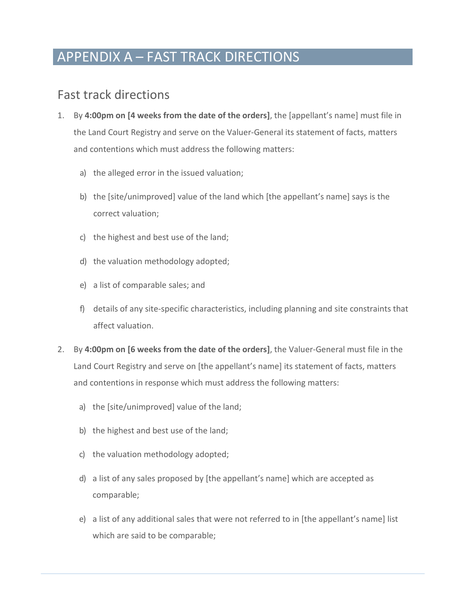## APPENDIX A – FAST TRACK DIRECTIONS

#### Fast track directions

- 1. By **4:00pm on [4 weeks from the date of the orders]**, the [appellant's name] must file in the Land Court Registry and serve on the Valuer-General its statement of facts, matters and contentions which must address the following matters:
	- a) the alleged error in the issued valuation;
	- b) the [site/unimproved] value of the land which [the appellant's name] says is the correct valuation;
	- c) the highest and best use of the land;
	- d) the valuation methodology adopted;
	- e) a list of comparable sales; and
	- f) details of any site-specific characteristics, including planning and site constraints that affect valuation.
- 2. By **4:00pm on [6 weeks from the date of the orders]**, the Valuer-General must file in the Land Court Registry and serve on [the appellant's name] its statement of facts, matters and contentions in response which must address the following matters:
	- a) the [site/unimproved] value of the land;
	- b) the highest and best use of the land;
	- c) the valuation methodology adopted;
	- d) a list of any sales proposed by [the appellant's name] which are accepted as comparable;
	- e) a list of any additional sales that were not referred to in [the appellant's name] list which are said to be comparable;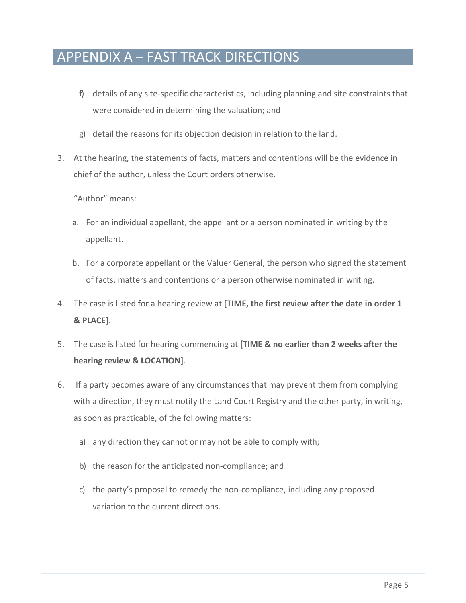## APPENDIX A – FAST TRACK DIRECTIONS

- f) details of any site-specific characteristics, including planning and site constraints that were considered in determining the valuation; and
- g) detail the reasons for its objection decision in relation to the land.
- 3. At the hearing, the statements of facts, matters and contentions will be the evidence in chief of the author, unless the Court orders otherwise.

"Author" means:

- a. For an individual appellant, the appellant or a person nominated in writing by the appellant.
- b. For a corporate appellant or the Valuer General, the person who signed the statement of facts, matters and contentions or a person otherwise nominated in writing.
- 4. The case is listed for a hearing review at **[TIME, the first review after the date in order 1 & PLACE]**.
- 5. The case is listed for hearing commencing at **[TIME & no earlier than 2 weeks after the hearing review & LOCATION]**.
- 6. If a party becomes aware of any circumstances that may prevent them from complying with a direction, they must notify the Land Court Registry and the other party, in writing, as soon as practicable, of the following matters:
	- a) any direction they cannot or may not be able to comply with;
	- b) the reason for the anticipated non-compliance; and
	- c) the party's proposal to remedy the non-compliance, including any proposed variation to the current directions.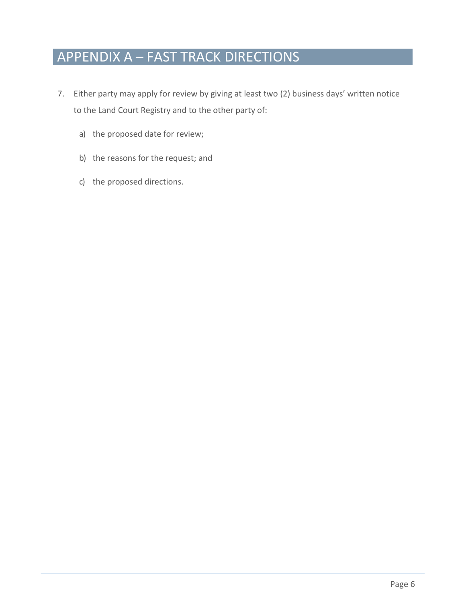# APPENDIX A – FAST TRACK DIRECTIONS

- 7. Either party may apply for review by giving at least two (2) business days' written notice to the Land Court Registry and to the other party of:
	- a) the proposed date for review;
	- b) the reasons for the request; and
	- c) the proposed directions.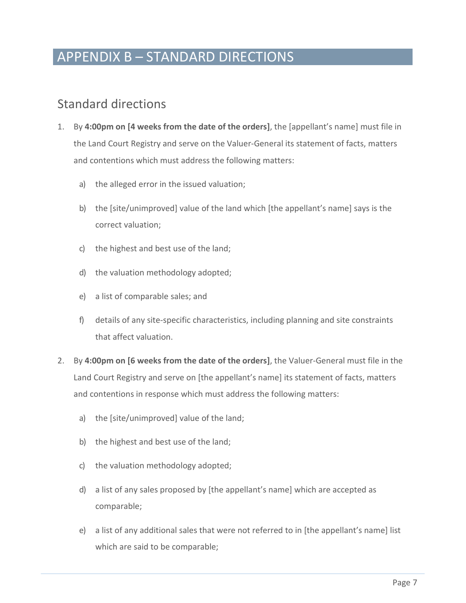## APPENDIX B – STANDARD DIRECTIONS

#### Standard directions

- 1. By **4:00pm on [4 weeks from the date of the orders]**, the [appellant's name] must file in the Land Court Registry and serve on the Valuer-General its statement of facts, matters and contentions which must address the following matters:
	- a) the alleged error in the issued valuation;
	- b) the [site/unimproved] value of the land which [the appellant's name] says is the correct valuation;
	- c) the highest and best use of the land;
	- d) the valuation methodology adopted;
	- e) a list of comparable sales; and
	- f) details of any site-specific characteristics, including planning and site constraints that affect valuation.
- 2. By **4:00pm on [6 weeks from the date of the orders]**, the Valuer-General must file in the Land Court Registry and serve on [the appellant's name] its statement of facts, matters and contentions in response which must address the following matters:
	- a) the [site/unimproved] value of the land;
	- b) the highest and best use of the land;
	- c) the valuation methodology adopted;
	- d) a list of any sales proposed by [the appellant's name] which are accepted as comparable;
	- e) a list of any additional sales that were not referred to in [the appellant's name] list which are said to be comparable;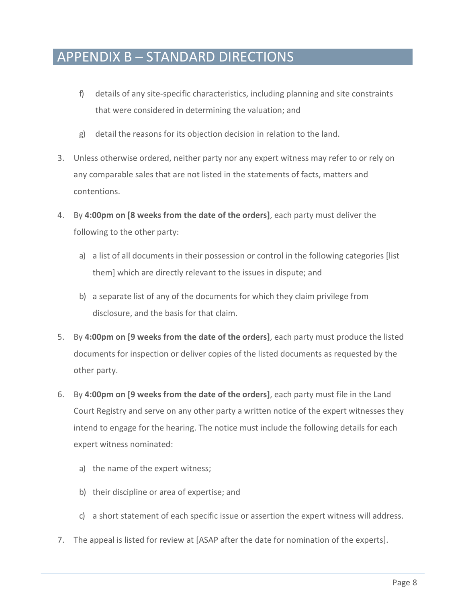## APPENDIX B – STANDARD DIRECTIONS

- f) details of any site-specific characteristics, including planning and site constraints that were considered in determining the valuation; and
- g) detail the reasons for its objection decision in relation to the land.
- 3. Unless otherwise ordered, neither party nor any expert witness may refer to or rely on any comparable sales that are not listed in the statements of facts, matters and contentions.
- 4. By **4:00pm on [8 weeks from the date of the orders]**, each party must deliver the following to the other party:
	- a) a list of all documents in their possession or control in the following categories [list them] which are directly relevant to the issues in dispute; and
	- b) a separate list of any of the documents for which they claim privilege from disclosure, and the basis for that claim.
- 5. By **4:00pm on [9 weeks from the date of the orders]**, each party must produce the listed documents for inspection or deliver copies of the listed documents as requested by the other party.
- 6. By **4:00pm on [9 weeks from the date of the orders]**, each party must file in the Land Court Registry and serve on any other party a written notice of the expert witnesses they intend to engage for the hearing. The notice must include the following details for each expert witness nominated:
	- a) the name of the expert witness;
	- b) their discipline or area of expertise; and
	- c) a short statement of each specific issue or assertion the expert witness will address.
- 7. The appeal is listed for review at [ASAP after the date for nomination of the experts].